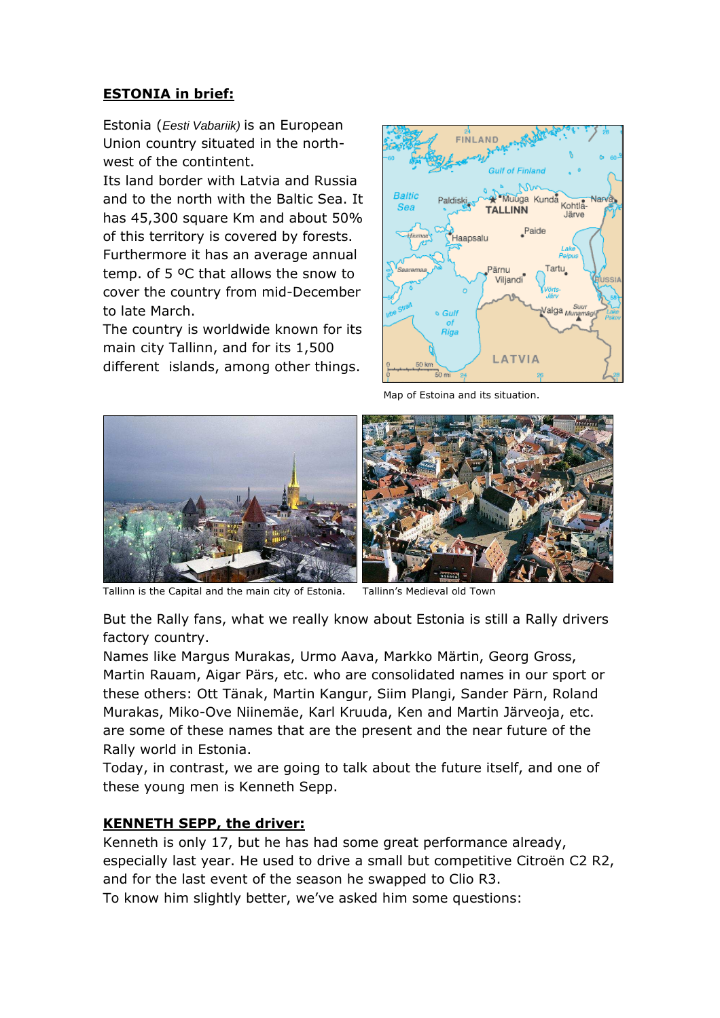# **ESTONIA in brief:**

Estonia (Eesti Vabariik) is an European Union country situated in the northwest of the contintent.

Its land border with Latvia and Russia and to the north with the Baltic Sea. It has 45,300 square Km and about 50% of this territory is covered by forests. Furthermore it has an average annual temp. of 5 ºC that allows the snow to cover the country from mid-December to late March.

The country is worldwide known for its main city Tallinn, and for its 1,500 different islands, among other things.



Map of Estoina and its situation.



Tallinn is the Capital and the main city of Estonia. Tallinn's Medieval old Town

But the Rally fans, what we really know about Estonia is still a Rally drivers factory country.

Names like Margus Murakas, Urmo Aava, Markko Märtin, Georg Gross, Martin Rauam, Aigar Pärs, etc. who are consolidated names in our sport or these others: Ott Tänak, Martin Kangur, Siim Plangi, Sander Pärn, Roland Murakas, Miko-Ove Niinemäe, Karl Kruuda, Ken and Martin Järveoja, etc. are some of these names that are the present and the near future of the Rally world in Estonia.

Today, in contrast, we are going to talk about the future itself, and one of these young men is Kenneth Sepp.

# **KENNETH SEPP, the driver:**

Kenneth is only 17, but he has had some great performance already, especially last year. He used to drive a small but competitive Citroën C2 R2, and for the last event of the season he swapped to Clio R3.

To know him slightly better, we've asked him some questions: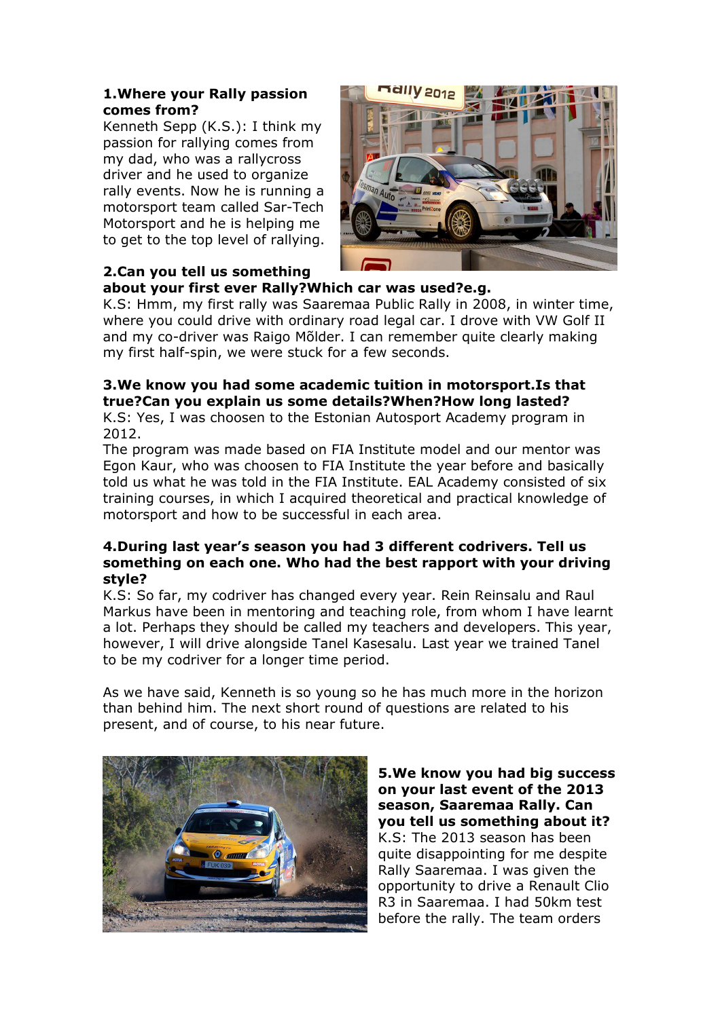#### **1.Where your Rally passion comes from?**

Kenneth Sepp (K.S.): I think my passion for rallying comes from my dad, who was a rallycross driver and he used to organize rally events. Now he is running a motorsport team called Sar-Tech Motorsport and he is helping me to get to the top level of rallying.



# **2.Can you tell us something**

**about your first ever Rally?Which car was used?e.g.**

K.S: Hmm, my first rally was Saaremaa Public Rally in 2008, in winter time, where you could drive with ordinary road legal car. I drove with VW Golf II and my co-driver was Raigo Mõlder. I can remember quite clearly making my first half-spin, we were stuck for a few seconds.

# **3.We know you had some academic tuition in motorsport.Is that true?Can you explain us some details?When?How long lasted?**

K.S: Yes, I was choosen to the Estonian Autosport Academy program in 2012.

The program was made based on FIA Institute model and our mentor was Egon Kaur, who was choosen to FIA Institute the year before and basically told us what he was told in the FIA Institute. EAL Academy consisted of six training courses, in which I acquired theoretical and practical knowledge of motorsport and how to be successful in each area.

#### **4.During last year's season you had 3 different codrivers. Tell us something on each one. Who had the best rapport with your driving style?**

K.S: So far, my codriver has changed every year. Rein Reinsalu and Raul Markus have been in mentoring and teaching role, from whom I have learnt a lot. Perhaps they should be called my teachers and developers. This year, however, I will drive alongside Tanel Kasesalu. Last year we trained Tanel to be my codriver for a longer time period.

As we have said, Kenneth is so young so he has much more in the horizon than behind him. The next short round of questions are related to his present, and of course, to his near future.



**5.We know you had big success on your last event of the 2013 season, Saaremaa Rally. Can you tell us something about it?** K.S: The 2013 season has been quite disappointing for me despite Rally Saaremaa. I was given the opportunity to drive a Renault Clio R3 in Saaremaa. I had 50km test before the rally. The team orders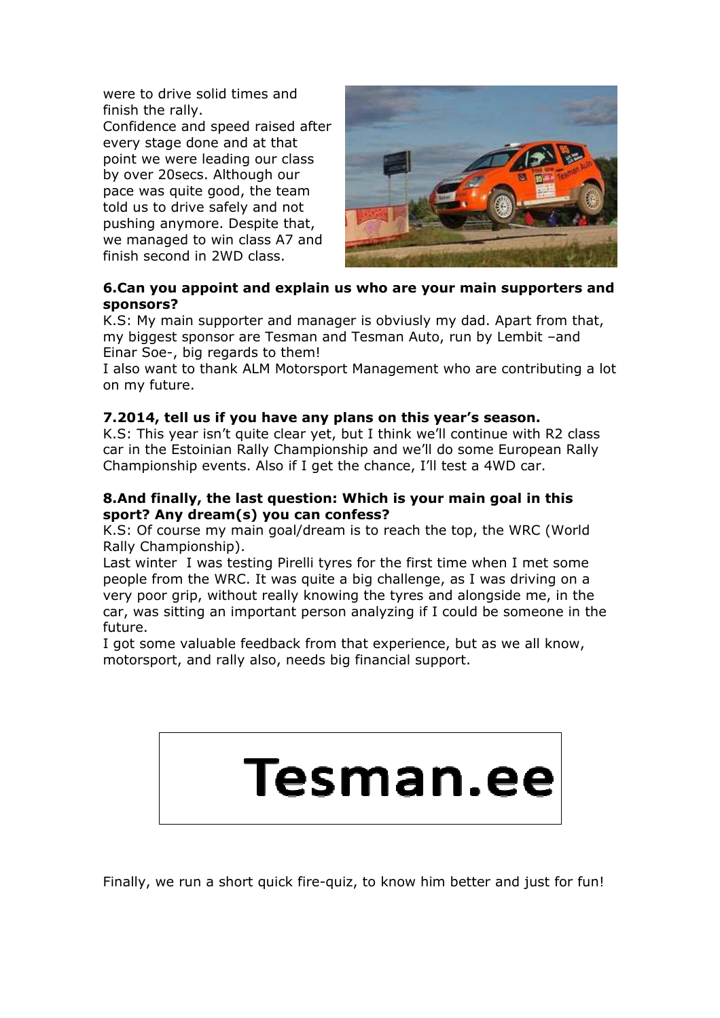were to drive solid times and finish the rally.

Confidence and speed raised after every stage done and at that point we were leading our class by over 20secs. Although our pace was quite good, the team told us to drive safely and not pushing anymore. Despite that, we managed to win class A7 and finish second in 2WD class.



## **6.Can you appoint and explain us who are your main supporters and sponsors?**

K.S: My main supporter and manager is obviusly my dad. Apart from that, my biggest sponsor are Tesman and Tesman Auto, run by Lembit –and Einar Soe-, big regards to them!

I also want to thank ALM Motorsport Management who are contributing a lot on my future.

## **7.2014, tell us if you have any plans on this year's season.**

K.S: This year isn't quite clear yet, but I think we'll continue with R2 class car in the Estoinian Rally Championship and we'll do some European Rally Championship events. Also if I get the chance, I'll test a 4WD car.

#### **8.And finally, the last question: Which is your main goal in this sport? Any dream(s) you can confess?**

K.S: Of course my main goal/dream is to reach the top, the WRC (World Rally Championship).

Last winter I was testing Pirelli tyres for the first time when I met some people from the WRC. It was quite a big challenge, as I was driving on a very poor grip, without really knowing the tyres and alongside me, in the car, was sitting an important person analyzing if I could be someone in the future.

I got some valuable feedback from that experience, but as we all know, motorsport, and rally also, needs big financial support.



Finally, we run a short quick fire-quiz, to know him better and just for fun!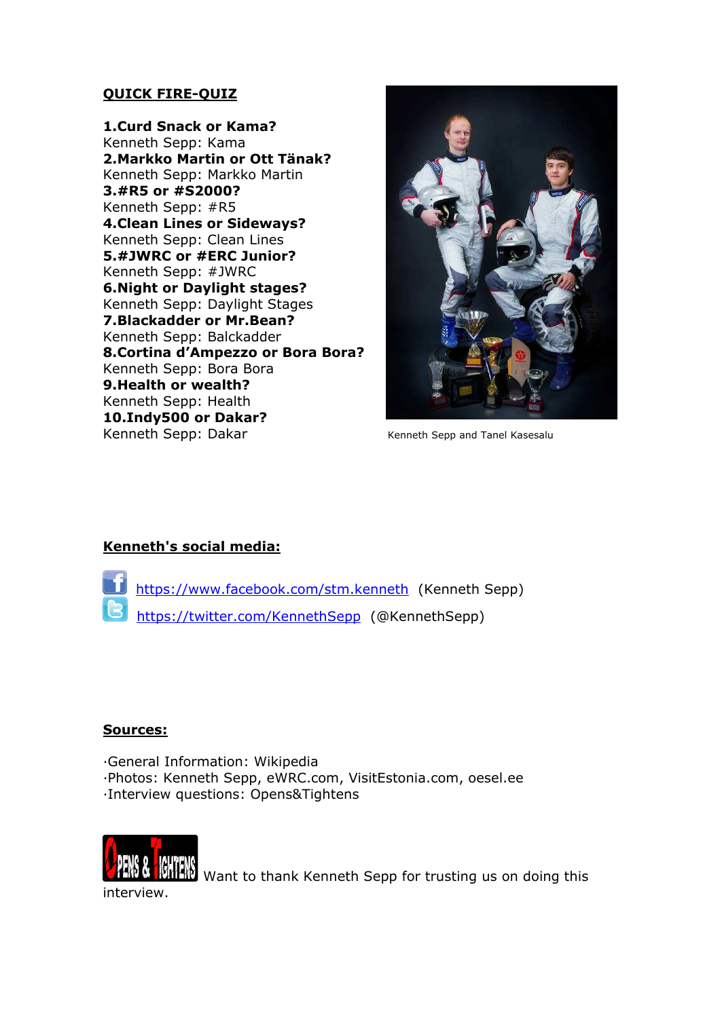## **QUICK FIRE-QUIZ**

**1.Curd Snack or Kama?** Kenneth Sepp: Kama **2.Markko Martin or Ott Tänak?**  Kenneth Sepp: Markko Martin **3.#R5 or #S2000?**  Kenneth Sepp: #R5 **4.Clean Lines or Sideways?**  Kenneth Sepp: Clean Lines **5.#JWRC or #ERC Junior?**  Kenneth Sepp: #JWRC **6.Night or Daylight stages?**  Kenneth Sepp: Daylight Stages **7.Blackadder or Mr.Bean?**  Kenneth Sepp: Balckadder **8.Cortina d'Ampezzo or Bora Bora?**  Kenneth Sepp: Bora Bora **9.Health or wealth?**  Kenneth Sepp: Health **10.Indy500 or Dakar?**  Kenneth Sepp: Dakar Kenneth Sepp and Tanel Kasesalu



# **Kenneth's social media:**

 https://www.facebook.com/stm.kenneth (Kenneth Sepp) https://twitter.com/KennethSepp (@KennethSepp)

#### **Sources:**

General Information: Wikipedia Photos: Kenneth Sepp, eWRC.com, VisitEstonia.com, oesel.ee Interview questions: Opens&Tightens



 $\mathbb{R}$  Want to thank Kenneth Sepp for trusting us on doing this interview.